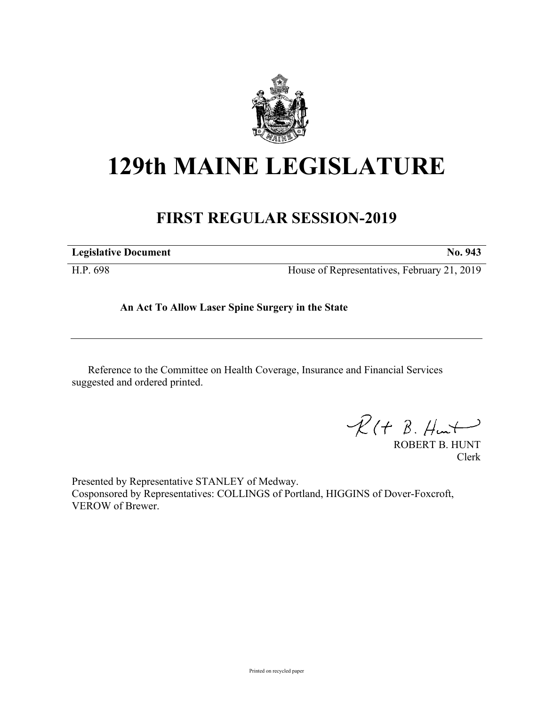

## **129th MAINE LEGISLATURE**

## **FIRST REGULAR SESSION-2019**

| <b>Legislative Document</b> | No. 943                                     |
|-----------------------------|---------------------------------------------|
| H.P. 698                    | House of Representatives, February 21, 2019 |

**An Act To Allow Laser Spine Surgery in the State**

Reference to the Committee on Health Coverage, Insurance and Financial Services suggested and ordered printed.

 $R(H B. H<sub>un</sub>)$ 

ROBERT B. HUNT Clerk

Presented by Representative STANLEY of Medway. Cosponsored by Representatives: COLLINGS of Portland, HIGGINS of Dover-Foxcroft, VEROW of Brewer.